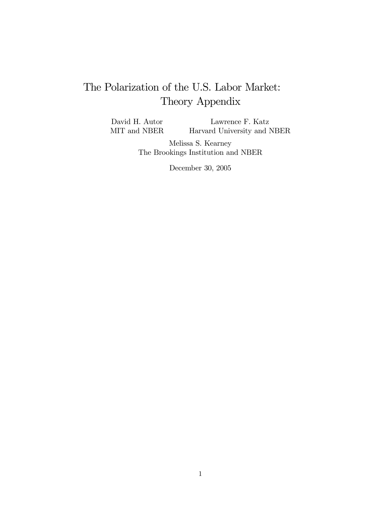# The Polarization of the U.S. Labor Market: Theory Appendix

David H. Autor MIT and NBER Lawrence F. Katz Harvard University and NBER

> Melissa S. Kearney The Brookings Institution and NBER

> > December 30, 2005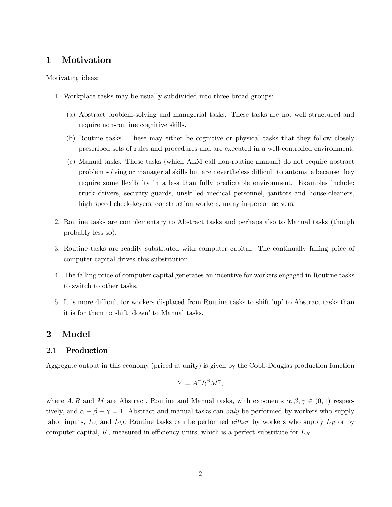## 1 Motivation

Motivating ideas:

- 1. Workplace tasks may be usually subdivided into three broad groups:
	- (a) Abstract problem-solving and managerial tasks. These tasks are not well structured and require non-routine cognitive skills.
	- (b) Routine tasks. These may either be cognitive or physical tasks that they follow closely prescribed sets of rules and procedures and are executed in a well-controlled environment.
	- (c) Manual tasks. These tasks (which ALM call non-routine manual) do not require abstract problem solving or managerial skills but are nevertheless difficult to automate because they require some flexibility in a less than fully predictable environment. Examples include: truck drivers, security guards, unskilled medical personnel, janitors and house-cleaners, high speed check-keyers, construction workers, many in-person servers.
- 2. Routine tasks are complementary to Abstract tasks and perhaps also to Manual tasks (though probably less so).
- 3. Routine tasks are readily substituted with computer capital. The continually falling price of computer capital drives this substitution.
- 4. The falling price of computer capital generates an incentive for workers engaged in Routine tasks to switch to other tasks.
- 5. It is more difficult for workers displaced from Routine tasks to shift 'up' to Abstract tasks than it is for them to shift 'down' to Manual tasks.

### 2 Model

#### 2.1 Production

Aggregate output in this economy (priced at unity) is given by the Cobb-Douglas production function

$$
Y = A^{\alpha} R^{\beta} M^{\gamma},
$$

where A, R and M are Abstract, Routine and Manual tasks, with exponents  $\alpha, \beta, \gamma \in (0,1)$  respectively, and  $\alpha + \beta + \gamma = 1$ . Abstract and manual tasks can only be performed by workers who supply labor inputs,  $L_A$  and  $L_M$ . Routine tasks can be performed *either* by workers who supply  $L_R$  or by computer capital, K, measured in efficiency units, which is a perfect substitute for  $L_R$ .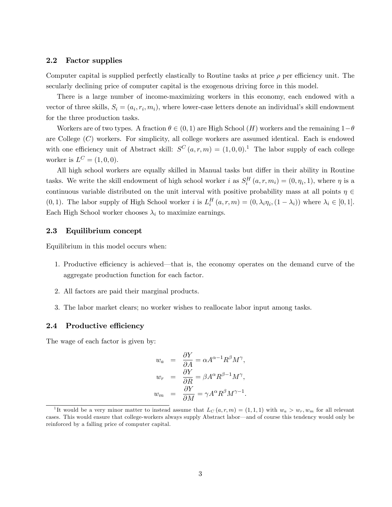#### 2.2 Factor supplies

Computer capital is supplied perfectly elastically to Routine tasks at price  $\rho$  per efficiency unit. The secularly declining price of computer capital is the exogenous driving force in this model.

There is a large number of income-maximizing workers in this economy, each endowed with a vector of three skills,  $S_i = (a_i, r_i, m_i)$ , where lower-case letters denote an individual's skill endowment for the three production tasks.

Workers are of two types. A fraction  $\theta \in (0,1)$  are High School  $(H)$  workers and the remaining  $1-\theta$ are College  $(C)$  workers. For simplicity, all college workers are assumed identical. Each is endowed with one efficiency unit of Abstract skill:  $S^{C}(a,r,m) = (1,0,0).$ <sup>1</sup> The labor supply of each college worker is  $L^C = (1,0,0)$ .

All high school workers are equally skilled in Manual tasks but differ in their ability in Routine tasks. We write the skill endowment of high school worker i as  $S_i^H(a, r, m_i) = (0, \eta_i, 1)$ , where  $\eta$  is a continuous variable distributed on the unit interval with positive probability mass at all points  $\eta \in$ (0, 1). The labor supply of High School worker *i* is  $L_i^H(a, r, m) = (0, \lambda_i \eta_i, (1 - \lambda_i))$  where  $\lambda_i \in [0, 1]$ . Each High School worker chooses  $\lambda_i$  to maximize earnings.

#### 2.3 Equilibrium concept

Equilibrium in this model occurs when:

- 1. Productive efficiency is achieved—that is, the economy operates on the demand curve of the aggregate production function for each factor.
- 2. All factors are paid their marginal products.
- 3. The labor market clears; no worker wishes to reallocate labor input among tasks.

#### 2.4 Productive efficiency

The wage of each factor is given by:

$$
w_a = \frac{\partial Y}{\partial A} = \alpha A^{\alpha - 1} R^{\beta} M^{\gamma},
$$
  
\n
$$
w_r = \frac{\partial Y}{\partial R} = \beta A^{\alpha} R^{\beta - 1} M^{\gamma},
$$
  
\n
$$
w_m = \frac{\partial Y}{\partial M} = \gamma A^{\alpha} R^{\beta} M^{\gamma - 1}.
$$

<sup>&</sup>lt;sup>1</sup>It would be a very minor matter to instead assume that  $L_C(a, r, m) = (1, 1, 1)$  with  $w_a > w_r, w_m$  for all relevant cases. This would ensure that college-workers always supply Abstract labor—and of course this tendency would only be reinforced by a falling price of computer capital.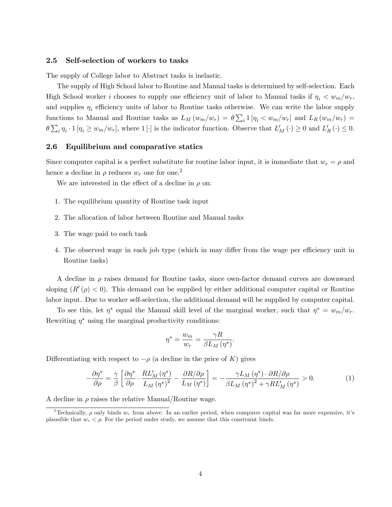#### 2.5 Self-selection of workers to tasks

The supply of College labor to Abstract tasks is inelastic.

The supply of High School labor to Routine and Manual tasks is determined by self-selection. Each High School worker i chooses to supply one efficiency unit of labor to Manual tasks if  $\eta_i < w_m/w_r$ , and supplies  $\eta_i$  efficiency units of labor to Routine tasks otherwise. We can write the labor supply functions to Manual and Routine tasks as  $L_M(w_m/w_r) = \theta \sum_i 1 [\eta_i \langle w_m/w_r]$  and  $L_R(w_m/w_r) =$  $\theta \sum_i \eta_i \cdot 1 [\eta_i \geq w_m/w_r],$  where  $1[\cdot]$  is the indicator function. Observe that  $L'_M(\cdot) \geq 0$  and  $L'_R(\cdot) \leq 0$ .

#### 2.6 Equilibrium and comparative statics

Since computer capital is a perfect substitute for routine labor input, it is immediate that  $w_r = \rho$  and hence a decline in  $\rho$  reduces  $w_r$  one for one.<sup>2</sup>

We are interested in the effect of a decline in  $\rho$  on:

- 1. The equilibrium quantity of Routine task input
- 2. The allocation of labor between Routine and Manual tasks
- 3. The wage paid to each task
- 4. The observed wage in each job type (which in may differ from the wage per efficiency unit in Routine tasks)

A decline in  $\rho$  raises demand for Routine tasks, since own-factor demand curves are downward sloping  $(R'(\rho) < 0)$ . This demand can be supplied by either additional computer capital or Routine labor input. Due to worker self-selection, the additional demand will be supplied by computer capital.

To see this, let  $\eta^*$  equal the Manual skill level of the marginal worker, such that  $\eta^* = w_m/w_r$ . Rewriting  $\eta^*$  using the marginal productivity conditions:

$$
\eta^* = \frac{w_m}{w_r} = \frac{\gamma R}{\beta L_M \left( \eta^* \right)}.
$$

Differentiating with respect to  $-\rho$  (a decline in the price of K) gives

$$
-\frac{\partial \eta^*}{\partial \rho} = \frac{\gamma}{\beta} \left[ \frac{\partial \eta^*}{\partial \rho} \cdot \frac{RL_M'(\eta^*)}{L_M(\eta^*)^2} - \frac{\partial R/\partial \rho}{L_M(\eta^*)} \right] = -\frac{\gamma L_M(\eta^*) \cdot \partial R/\partial \rho}{\beta L_M(\eta^*)^2 + \gamma RL_M'(\eta^*)} > 0. \tag{1}
$$

A decline in  $\rho$  raises the relative Manual/Routine wage.

<sup>&</sup>lt;sup>2</sup>Technically,  $\rho$  only binds  $w_r$  from above. In an earlier period, when computer capital was far more expensive, it's plausible that  $w_r < \rho$ . For the period under study, we assume that this constraint binds.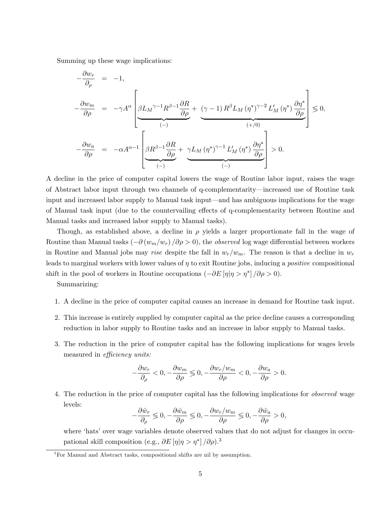Summing up these wage implications:

$$
\begin{array}{rcl} -\frac{\partial w_r}{\partial \rho} & = & -1,\\ \\ -\frac{\partial w_m}{\partial \rho} & = & -\gamma A^\alpha \left[ \underbrace{\beta L_M^{\gamma-1} R^{\beta-1} \frac{\partial R}{\partial \rho}}_{(-)} + \underbrace{(\gamma-1) R^\beta L_M (\eta^*)^{\gamma-2} L_M' (\eta^*) \frac{\partial \eta^*}{\partial \rho}}_{(+/0)} \right] \leqslant 0,\\ \\ -\frac{\partial w_a}{\partial \rho} & = & -\alpha A^{\alpha-1} \left[ \underbrace{\beta R^{\beta-1} \frac{\partial R}{\partial \rho}}_{(-)} + \underbrace{\gamma L_M (\eta^*)^{\gamma-1} L_M' (\eta^*) \frac{\partial \eta^*}{\partial \rho}}_{(-)} \right] > 0. \end{array}
$$

A decline in the price of computer capital lowers the wage of Routine labor input, raises the wage of Abstract labor input through two channels of q-complementarity—increased use of Routine task input and increased labor supply to Manual task input—and has ambiguous implications for the wage of Manual task input (due to the countervailing effects of q-complementarity between Routine and Manual tasks and increased labor supply to Manual tasks).

Though, as established above, a decline in  $\rho$  yields a larger proportionate fall in the wage of Routine than Manual tasks  $\left(-\partial (w_m/w_r)/\partial \rho > 0\right)$ , the *observed* log wage differential between workers in Routine and Manual jobs may rise despite the fall in  $w_r/w_m$ . The reason is that a decline in  $w_r$ leads to marginal workers with lower values of  $\eta$  to exit Routine jobs, inducing a *positive* compositional shift in the pool of workers in Routine occupations  $\left(-\partial E\left[\eta|\eta>\eta^*\right]/\partial\rho>0\right)$ .

Summarizing:

- 1. A decline in the price of computer capital causes an increase in demand for Routine task input.
- 2. This increase is entirely supplied by computer capital as the price decline causes a corresponding reduction in labor supply to Routine tasks and an increase in labor supply to Manual tasks.
- 3. The reduction in the price of computer capital has the following implications for wages levels measured in *efficiency units:*

$$
-\frac{\partial w_r}{\partial_\rho}<0, -\frac{\partial w_m}{\partial\rho}\lessgtr 0, -\frac{\partial w_r/w_m}{\partial\rho}<0, -\frac{\partial w_a}{\partial\rho}>0.
$$

4. The reduction in the price of computer capital has the following implications for observed wage levels:

$$
-\frac{\partial \hat{w}_r}{\partial \rho} \lessgtr 0, -\frac{\partial \hat{w}_m}{\partial \rho} \lessgtr 0, -\frac{\partial w_r}{\partial \rho} \lessgtr 0, -\frac{\partial \hat{w}_a}{\partial \rho} > 0,
$$

where 'hats' over wage variables denote observed values that do not adjust for changes in occupational skill composition (e.g.,  $\partial E[\eta | \eta > \eta^*] / \partial \rho$ ).<sup>3</sup>

<sup>3</sup>For Manual and Abstract tasks, compositional shifts are nil by assumption.